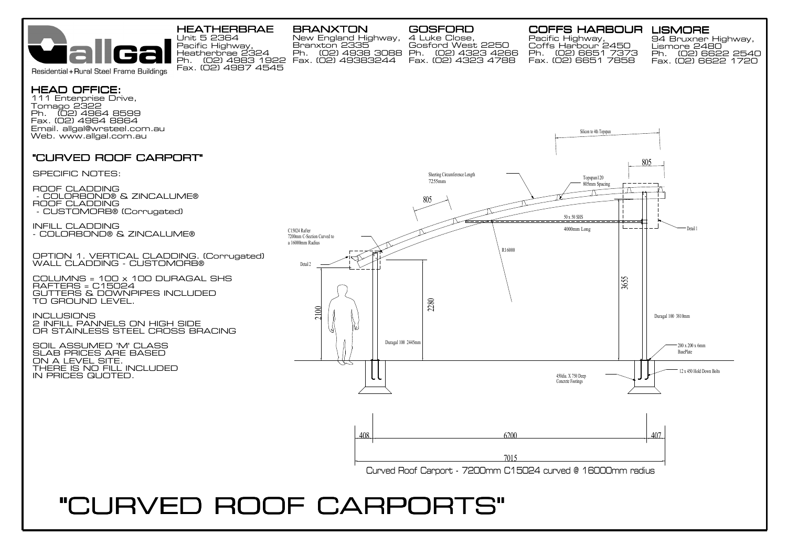

111 Enterprise Drive,

HEAD OFFICE:

## HEATHERBRAE BRANXTON

Fax. (02) 49383244 Ph. (02) 4983 1922 Fax. (02) 4323 4788 Unit 5 2364 Pacific Highway, Heatherbrae 2324 Fax. (02) 4987 4545

New England Highway,

Branxton 2335

## GOSFORD

Ph. (02) 4938 3088 Ph. (02) 4323 4266 4 Luke Close, Gosford West 2250

## COFFS HARBOUR LISMORE

Pacific Highway, Coffs Harbour 2450 Ph. (02) 6651 7373 Fax. (02) 6651 7858

94 Bruxner Highway, Lismore 2480 Ph. (02) 6622 2540 Fax. (02) 6622 1720



Curved Roof Carport - 7200mm C15024 curved @ 16000mm radius

## "CURVED ROOF CARPORTS"